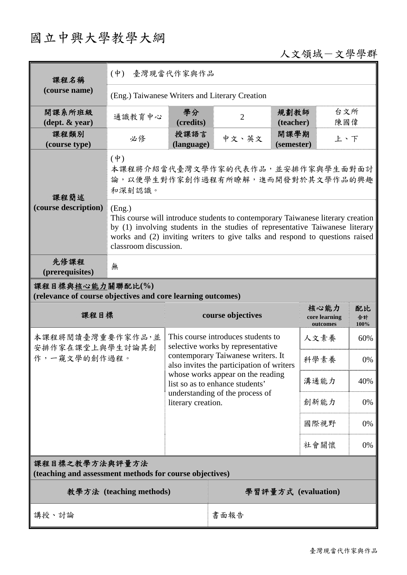# 國立中興大學教學大綱

## 人文領域-文學學群

| 課程名稱                                                                            | 臺灣現當代作家與作品<br>$(\dot{\Psi})$                                                                                                                                                                                                                                                        |                    |                                                                                 |                    |                                   |                  |
|---------------------------------------------------------------------------------|-------------------------------------------------------------------------------------------------------------------------------------------------------------------------------------------------------------------------------------------------------------------------------------|--------------------|---------------------------------------------------------------------------------|--------------------|-----------------------------------|------------------|
| (course name)                                                                   | (Eng.) Taiwanese Writers and Literary Creation                                                                                                                                                                                                                                      |                    |                                                                                 |                    |                                   |                  |
| 開課系所班級<br>$(\text{dept.} \& \text{ year})$                                      | 通識教育中心                                                                                                                                                                                                                                                                              | 學分<br>(credits)    | $\overline{2}$                                                                  | 規劃教師<br>(teacher)  | 台文所<br>陳國偉                        |                  |
| 課程類別<br>(course type)                                                           | 必修                                                                                                                                                                                                                                                                                  | 授課語言<br>(language) | 中文、英文                                                                           | 開課學期<br>(semester) | 上、下                               |                  |
| 課程簡述                                                                            | $(\dot{\Psi})$<br>本課程將介紹當代臺灣文學作家的代表作品,並安排作家與學生面對面討<br>論,以便學生對作家創作過程有所瞭解,進而開發對於其文學作品的興趣<br>和深刻認識。                                                                                                                                                                                    |                    |                                                                                 |                    |                                   |                  |
| (course description)                                                            | (Eng.)<br>This course will introduce students to contemporary Taiwanese literary creation<br>by (1) involving students in the studies of representative Taiwanese literary<br>works and (2) inviting writers to give talks and respond to questions raised<br>classroom discussion. |                    |                                                                                 |                    |                                   |                  |
| 先修課程<br>(prerequisites)                                                         | 無                                                                                                                                                                                                                                                                                   |                    |                                                                                 |                    |                                   |                  |
| 課程目標與核心能力關聯配比(%)<br>(relevance of course objectives and core learning outcomes) |                                                                                                                                                                                                                                                                                     |                    |                                                                                 |                    |                                   |                  |
|                                                                                 |                                                                                                                                                                                                                                                                                     |                    |                                                                                 |                    |                                   |                  |
| 課程目標                                                                            |                                                                                                                                                                                                                                                                                     |                    | course objectives                                                               |                    | 核心能力<br>core learning<br>outcomes | 配比<br>合計<br>100% |
| 本課程將閱讀臺灣重要作家作品,並                                                                |                                                                                                                                                                                                                                                                                     |                    | This course introduces students to<br>selective works by representative         |                    | 人文素養                              | 60%              |
| 安排作家在課堂上與學生討論其創<br>作,一窺文學的創作過程。                                                 |                                                                                                                                                                                                                                                                                     |                    | contemporary Taiwanese writers. It<br>also invites the participation of writers |                    | 科學素養                              | 0%               |
|                                                                                 |                                                                                                                                                                                                                                                                                     |                    | whose works appear on the reading<br>list so as to enhance students'            |                    | 溝通能力                              | 40%              |
|                                                                                 |                                                                                                                                                                                                                                                                                     | literary creation. | understanding of the process of                                                 |                    | 創新能力                              | 0%               |
|                                                                                 |                                                                                                                                                                                                                                                                                     |                    |                                                                                 |                    | 國際視野                              | 0%               |
|                                                                                 |                                                                                                                                                                                                                                                                                     |                    |                                                                                 |                    | 社會關懷                              | 0%               |
| 課程目標之教學方法與評量方法<br>(teaching and assessment methods for course objectives)       |                                                                                                                                                                                                                                                                                     |                    |                                                                                 |                    |                                   |                  |
|                                                                                 | 教學方法 (teaching methods)                                                                                                                                                                                                                                                             |                    |                                                                                 |                    | 學習評量方式 (evaluation)               |                  |